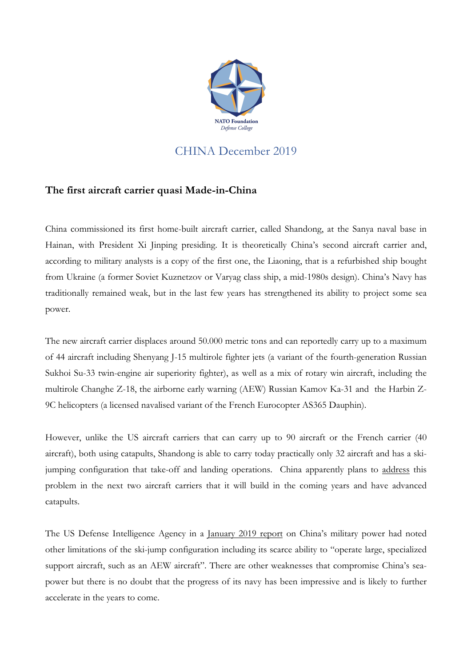

## CHINA December 2019

## **The first aircraft carrier quasi Made-in-China**

China commissioned its first home-built aircraft carrier, called Shandong, at the Sanya naval base in Hainan, with President Xi Jinping presiding. It is theoretically China's second aircraft carrier and, according to military analysts is a copy of the first one, the Liaoning, that is a refurbished ship bought from Ukraine (a former Soviet Kuznetzov or Varyag class ship, a mid-1980s design). China's Navy has traditionally remained weak, but in the last few years has strengthened its ability to project some sea power.

The new aircraft carrier displaces around 50.000 metric tons and can reportedly carry up to a maximum of 44 aircraft including Shenyang J-15 multirole fighter jets (a variant of the fourth-generation Russian Sukhoi Su-33 twin-engine air superiority fighter), as well as a mix of rotary win aircraft, including the multirole Changhe Z-18, the airborne early warning (AEW) Russian Kamov Ka-31 and the Harbin Z-9C helicopters (a licensed navalised variant of the French Eurocopter AS365 Dauphin).

However, unlike the US aircraft carriers that can carry up to 90 aircraft or the French carrier (40 aircraft), both using catapults, Shandong is able to carry today practically only 32 aircraft and has a skijumping configuration that take-off and landing operations. China apparently plans to address this problem in the next two aircraft carriers that it will build in the coming years and have advanced catapults.

The US Defense Intelligence Agency in a January 2019 report on China's military power had noted other limitations of the ski-jump configuration including its scarce ability to "operate large, specialized support aircraft, such as an AEW aircraft". There are other weaknesses that compromise China's seapower but there is no doubt that the progress of its navy has been impressive and is likely to further accelerate in the years to come.